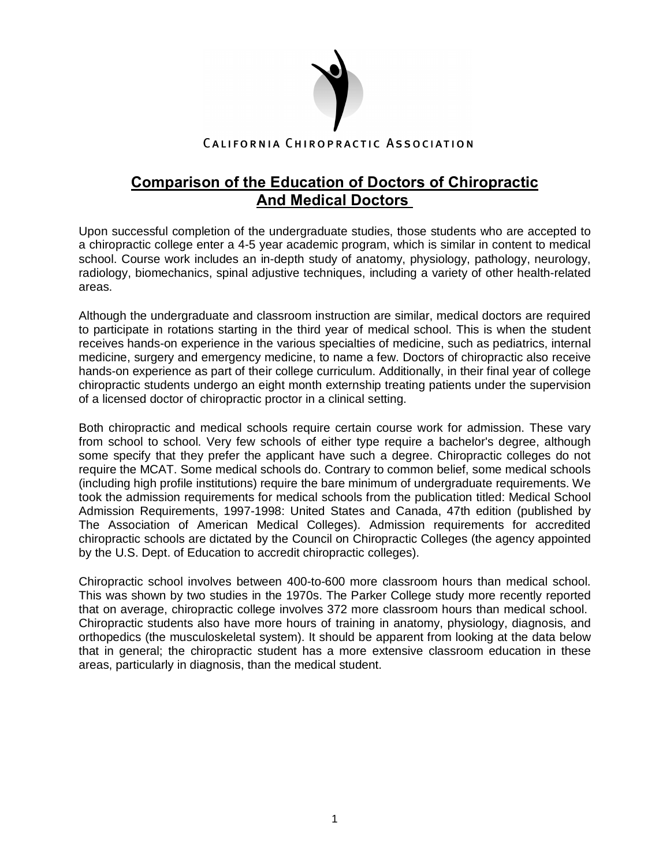

## **Comparison of the Education of Doctors of Chiropractic And Medical Doctors**

Upon successful completion of the undergraduate studies, those students who are accepted to a chiropractic college enter a 4-5 year academic program, which is similar in content to medical school. Course work includes an in-depth study of anatomy, physiology, pathology, neurology, radiology, biomechanics, spinal adjustive techniques, including a variety of other health-related areas.

Although the undergraduate and classroom instruction are similar, medical doctors are required to participate in rotations starting in the third year of medical school. This is when the student receives hands-on experience in the various specialties of medicine, such as pediatrics, internal medicine, surgery and emergency medicine, to name a few. Doctors of chiropractic also receive hands-on experience as part of their college curriculum. Additionally, in their final year of college chiropractic students undergo an eight month externship treating patients under the supervision of a licensed doctor of chiropractic proctor in a clinical setting.

Both chiropractic and medical schools require certain course work for admission. These vary from school to school. Very few schools of either type require a bachelor's degree, although some specify that they prefer the applicant have such a degree. Chiropractic colleges do not require the MCAT. Some medical schools do. Contrary to common belief, some medical schools (including high profile institutions) require the bare minimum of undergraduate requirements. We took the admission requirements for medical schools from the publication titled: Medical School Admission Requirements, 1997-1998: United States and Canada, 47th edition (published by The Association of American Medical Colleges). Admission requirements for accredited chiropractic schools are dictated by the Council on Chiropractic Colleges (the agency appointed by the U.S. Dept. of Education to accredit chiropractic colleges).

Chiropractic school involves between 400-to-600 more classroom hours than medical school. This was shown by two studies in the 1970s. The Parker College study more recently reported that on average, chiropractic college involves 372 more classroom hours than medical school. Chiropractic students also have more hours of training in anatomy, physiology, diagnosis, and orthopedics (the musculoskeletal system). It should be apparent from looking at the data below that in general; the chiropractic student has a more extensive classroom education in these areas, particularly in diagnosis, than the medical student.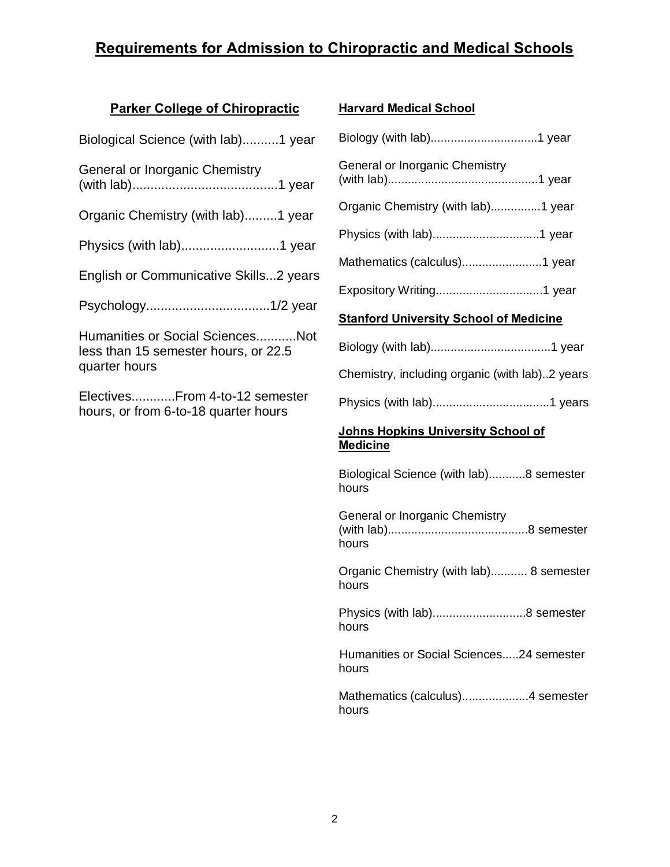# **Requirements for Admission to Chiropractic and Medical Schools**

### **Parker College of Chiropractic**

| Biological Science (with lab)1 year                                    |  |  |
|------------------------------------------------------------------------|--|--|
| General or Inorganic Chemistry                                         |  |  |
| Organic Chemistry (with lab)1 year                                     |  |  |
|                                                                        |  |  |
| English or Communicative Skills2 years                                 |  |  |
|                                                                        |  |  |
| Humanities or Social SciencesNot                                       |  |  |
| less than 15 semester hours, or 22.5<br>quarter hours                  |  |  |
| ElectivesFrom 4-to-12 semester<br>hours, or from 6-to-18 quarter hours |  |  |
|                                                                        |  |  |
|                                                                        |  |  |

#### **Harvard Medical School**

| General or Inorganic Chemistry                |  |  |
|-----------------------------------------------|--|--|
| Organic Chemistry (with lab)1 year            |  |  |
|                                               |  |  |
|                                               |  |  |
|                                               |  |  |
| <b>Stanford University School of Medicine</b> |  |  |
|                                               |  |  |

Chemistry, including organic (with lab)..2 years

Physics (with lab)...................................1 years

#### **Johns Hopkins University School of Medicine**

Biological Science (with lab)...........8 semester hours

General or Inorganic Chemistry (with lab)..........................................8 semester hours

Organic Chemistry (with lab)........... 8 semester hours

Physics (with lab)............................8 semester hours

Humanities or Social Sciences.....24 semester hours

Mathematics (calculus)....................4 semester hours